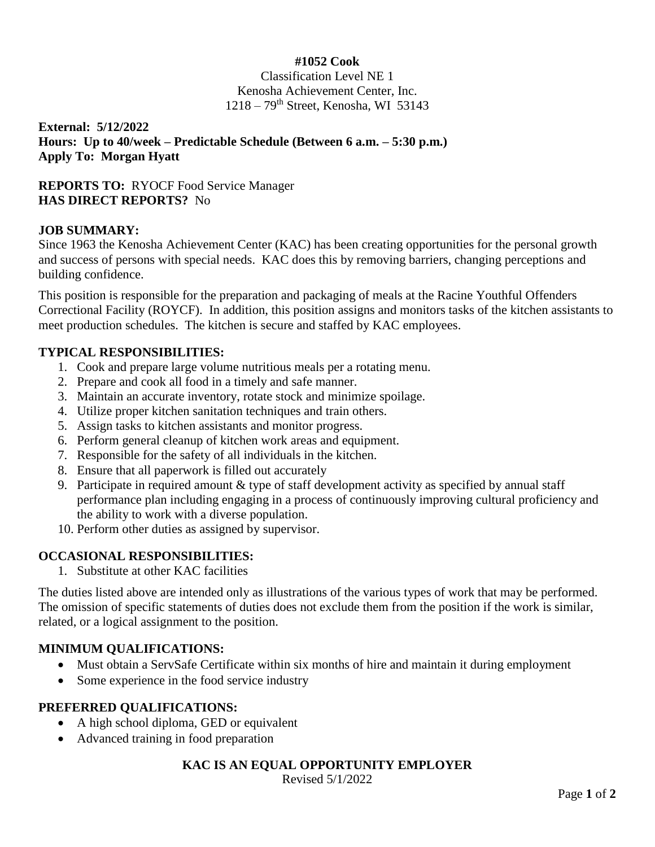### **#1052 Cook**

Classification Level NE 1 Kenosha Achievement Center, Inc.  $1218 - 79$ <sup>th</sup> Street, Kenosha, WI 53143

**External: 5/12/2022 Hours: Up to 40/week – Predictable Schedule (Between 6 a.m. – 5:30 p.m.) Apply To: Morgan Hyatt**

# **REPORTS TO:** RYOCF Food Service Manager **HAS DIRECT REPORTS?** No

#### **JOB SUMMARY:**

Since 1963 the Kenosha Achievement Center (KAC) has been creating opportunities for the personal growth and success of persons with special needs. KAC does this by removing barriers, changing perceptions and building confidence.

This position is responsible for the preparation and packaging of meals at the Racine Youthful Offenders Correctional Facility (ROYCF). In addition, this position assigns and monitors tasks of the kitchen assistants to meet production schedules. The kitchen is secure and staffed by KAC employees.

#### **TYPICAL RESPONSIBILITIES:**

- 1. Cook and prepare large volume nutritious meals per a rotating menu.
- 2. Prepare and cook all food in a timely and safe manner.
- 3. Maintain an accurate inventory, rotate stock and minimize spoilage.
- 4. Utilize proper kitchen sanitation techniques and train others.
- 5. Assign tasks to kitchen assistants and monitor progress.
- 6. Perform general cleanup of kitchen work areas and equipment.
- 7. Responsible for the safety of all individuals in the kitchen.
- 8. Ensure that all paperwork is filled out accurately
- 9. Participate in required amount & type of staff development activity as specified by annual staff performance plan including engaging in a process of continuously improving cultural proficiency and the ability to work with a diverse population.
- 10. Perform other duties as assigned by supervisor.

# **OCCASIONAL RESPONSIBILITIES:**

1. Substitute at other KAC facilities

The duties listed above are intended only as illustrations of the various types of work that may be performed. The omission of specific statements of duties does not exclude them from the position if the work is similar, related, or a logical assignment to the position.

# **MINIMUM QUALIFICATIONS:**

- Must obtain a ServSafe Certificate within six months of hire and maintain it during employment
- Some experience in the food service industry

# **PREFERRED QUALIFICATIONS:**

- A high school diploma, GED or equivalent
- Advanced training in food preparation

# **KAC IS AN EQUAL OPPORTUNITY EMPLOYER**

Revised 5/1/2022